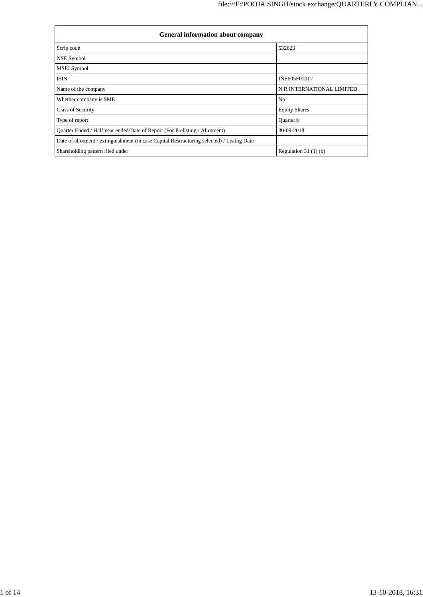| <b>General information about company</b>                                                   |                           |  |  |  |  |  |
|--------------------------------------------------------------------------------------------|---------------------------|--|--|--|--|--|
| Scrip code                                                                                 | 532623                    |  |  |  |  |  |
| NSE Symbol                                                                                 |                           |  |  |  |  |  |
| <b>MSEI</b> Symbol                                                                         |                           |  |  |  |  |  |
| <b>ISIN</b>                                                                                | INE605F01017              |  |  |  |  |  |
| Name of the company                                                                        | N R INTERNATIONAL LIMITED |  |  |  |  |  |
| Whether company is SME                                                                     | N <sub>0</sub>            |  |  |  |  |  |
| <b>Class of Security</b>                                                                   | <b>Equity Shares</b>      |  |  |  |  |  |
| Type of report                                                                             | Quarterly                 |  |  |  |  |  |
| Quarter Ended / Half year ended/Date of Report (For Prelisting / Allotment)                | 30-09-2018                |  |  |  |  |  |
| Date of allotment / extinguishment (in case Capital Restructuring selected) / Listing Date |                           |  |  |  |  |  |
| Shareholding pattern filed under                                                           | Regulation $31(1)(b)$     |  |  |  |  |  |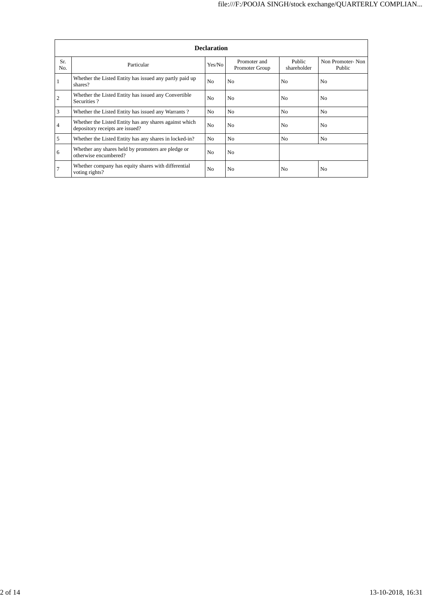|                | <b>Declaration</b>                                                                        |                |                                |                       |                            |  |  |  |  |
|----------------|-------------------------------------------------------------------------------------------|----------------|--------------------------------|-----------------------|----------------------------|--|--|--|--|
| Sr.<br>No.     | Particular                                                                                | Yes/No         | Promoter and<br>Promoter Group | Public<br>shareholder | Non Promoter-Non<br>Public |  |  |  |  |
|                | Whether the Listed Entity has issued any partly paid up<br>shares?                        | N <sub>o</sub> | N <sub>0</sub>                 | N <sub>0</sub>        | N <sub>0</sub>             |  |  |  |  |
| $\overline{2}$ | Whether the Listed Entity has issued any Convertible<br>Securities?                       | N <sub>o</sub> | N <sub>0</sub>                 | N <sub>0</sub>        | N <sub>0</sub>             |  |  |  |  |
| 3              | Whether the Listed Entity has issued any Warrants?                                        | No             | N <sub>0</sub>                 | N <sub>o</sub>        | N <sub>0</sub>             |  |  |  |  |
| 4              | Whether the Listed Entity has any shares against which<br>depository receipts are issued? | N <sub>0</sub> | N <sub>0</sub>                 | N <sub>0</sub>        | N <sub>0</sub>             |  |  |  |  |
| 5              | Whether the Listed Entity has any shares in locked-in?                                    | N <sub>o</sub> | N <sub>0</sub>                 | N <sub>0</sub>        | N <sub>o</sub>             |  |  |  |  |
| 6              | Whether any shares held by promoters are pledge or<br>otherwise encumbered?               | N <sub>0</sub> | N <sub>0</sub>                 |                       |                            |  |  |  |  |
|                | Whether company has equity shares with differential<br>voting rights?                     | N <sub>o</sub> | N <sub>0</sub>                 | N <sub>0</sub>        | N <sub>0</sub>             |  |  |  |  |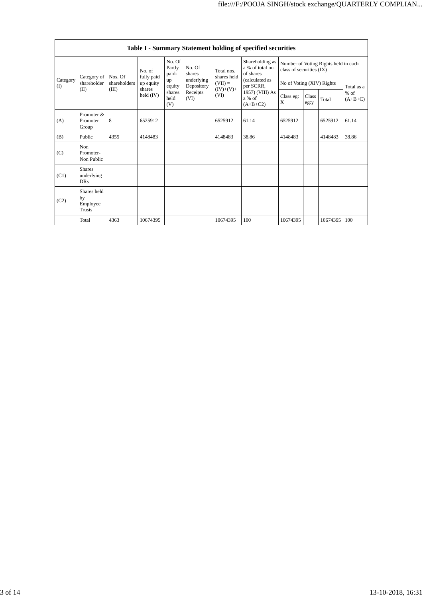|                                        |                                           |              |                                                                      |                           |                                                                          |                                                 | Table I - Summary Statement holding of specified securities            |                                                                  |               |          |                     |
|----------------------------------------|-------------------------------------------|--------------|----------------------------------------------------------------------|---------------------------|--------------------------------------------------------------------------|-------------------------------------------------|------------------------------------------------------------------------|------------------------------------------------------------------|---------------|----------|---------------------|
| Category of<br>Category<br>(1)<br>(II) |                                           | No. of       |                                                                      | No. Of<br>Partly<br>paid- | No. Of<br>shares                                                         | Total nos.                                      | Shareholding as<br>a % of total no.<br>of shares                       | Number of Voting Rights held in each<br>class of securities (IX) |               |          |                     |
|                                        | shareholder                               | shareholders | fully paid<br>Nos. Of<br>up equity<br>(III)<br>shares<br>held $(IV)$ | up                        | underlying<br>equity<br>Depository<br>Receipts<br>shares<br>held<br>(VI) | shares held<br>$(VII) =$<br>$(IV)+(V)+$<br>(VI) | (calculated as<br>per SCRR,<br>1957) (VIII) As<br>a % of<br>$(A+B+C2)$ | No of Voting (XIV) Rights                                        |               |          | Total as a          |
|                                        |                                           |              |                                                                      | (V)                       |                                                                          |                                                 |                                                                        | Class eg:<br>X                                                   | Class<br>eg:y | Total    | $%$ of<br>$(A+B+C)$ |
| (A)                                    | Promoter &<br>Promoter<br>Group           | 8            | 6525912                                                              |                           |                                                                          | 6525912                                         | 61.14                                                                  | 6525912                                                          |               | 6525912  | 61.14               |
| (B)                                    | Public                                    | 4355         | 4148483                                                              |                           |                                                                          | 4148483                                         | 38.86                                                                  | 4148483                                                          |               | 4148483  | 38.86               |
| (C)                                    | <b>Non</b><br>Promoter-<br>Non Public     |              |                                                                      |                           |                                                                          |                                                 |                                                                        |                                                                  |               |          |                     |
| (C1)                                   | <b>Shares</b><br>underlying<br><b>DRs</b> |              |                                                                      |                           |                                                                          |                                                 |                                                                        |                                                                  |               |          |                     |
| (C2)                                   | Shares held<br>by<br>Employee<br>Trusts   |              |                                                                      |                           |                                                                          |                                                 |                                                                        |                                                                  |               |          |                     |
|                                        | Total                                     | 4363         | 10674395                                                             |                           |                                                                          | 10674395                                        | 100                                                                    | 10674395                                                         |               | 10674395 | 100                 |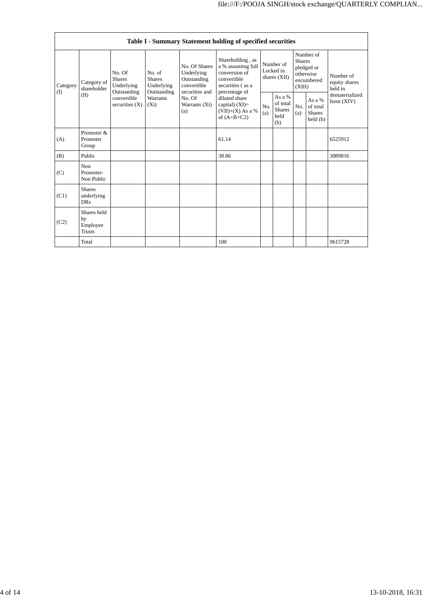|                 | Table I - Summary Statement holding of specified securities |                                                                                         |                                           |                                                                                                               |                                                                                                                                                                                        |                                          |                                                    |                                                                               |                                                |                                       |
|-----------------|-------------------------------------------------------------|-----------------------------------------------------------------------------------------|-------------------------------------------|---------------------------------------------------------------------------------------------------------------|----------------------------------------------------------------------------------------------------------------------------------------------------------------------------------------|------------------------------------------|----------------------------------------------------|-------------------------------------------------------------------------------|------------------------------------------------|---------------------------------------|
| Category<br>(I) | Category of<br>shareholder<br>(II)                          | No. Of<br><b>Shares</b><br>Underlying<br>Outstanding<br>convertible<br>securities $(X)$ | No. of<br><b>Shares</b><br>Underlying     | No. Of Shares<br>Underlying<br>Outstanding<br>convertible<br>securities and<br>No. Of<br>Warrants (Xi)<br>(a) | Shareholding, as<br>a % assuming full<br>conversion of<br>convertible<br>securities (as a<br>percentage of<br>diluted share<br>capital) $(XI)=$<br>$(VII)+(X)$ As a %<br>of $(A+B+C2)$ | Number of<br>Locked in<br>shares $(XII)$ |                                                    | Number of<br><b>Shares</b><br>pledged or<br>otherwise<br>encumbered<br>(XIII) |                                                | Number of<br>equity shares<br>held in |
|                 |                                                             |                                                                                         | Outstanding<br><b>Warrants</b><br>$(X_i)$ |                                                                                                               |                                                                                                                                                                                        | No.<br>(a)                               | As a %<br>of total<br><b>Shares</b><br>held<br>(b) | No.<br>(a)                                                                    | As a %<br>of total<br><b>Shares</b><br>held(b) | dematerialized<br>form $(XIV)$        |
| (A)             | Promoter &<br>Promoter<br>Group                             |                                                                                         |                                           |                                                                                                               | 61.14                                                                                                                                                                                  |                                          |                                                    |                                                                               |                                                | 6525912                               |
| (B)             | Public                                                      |                                                                                         |                                           |                                                                                                               | 38.86                                                                                                                                                                                  |                                          |                                                    |                                                                               |                                                | 3089816                               |
| (C)             | Non<br>Promoter-<br>Non Public                              |                                                                                         |                                           |                                                                                                               |                                                                                                                                                                                        |                                          |                                                    |                                                                               |                                                |                                       |
| (C1)            | <b>Shares</b><br>underlying<br><b>DRs</b>                   |                                                                                         |                                           |                                                                                                               |                                                                                                                                                                                        |                                          |                                                    |                                                                               |                                                |                                       |
| (C2)            | Shares held<br>by<br>Employee<br><b>Trusts</b>              |                                                                                         |                                           |                                                                                                               |                                                                                                                                                                                        |                                          |                                                    |                                                                               |                                                |                                       |
|                 | Total                                                       |                                                                                         |                                           |                                                                                                               | 100                                                                                                                                                                                    |                                          |                                                    |                                                                               |                                                | 9615728                               |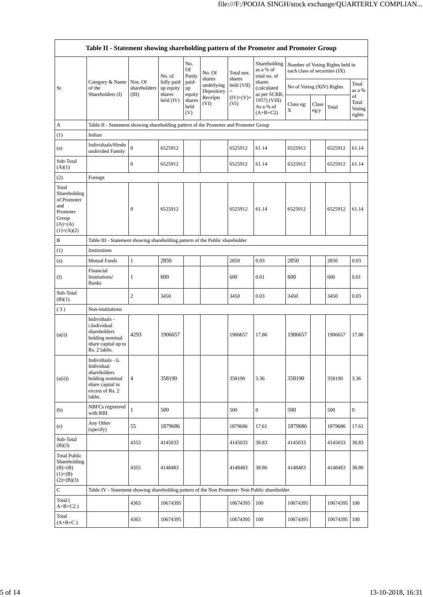| Table II - Statement showing shareholding pattern of the Promoter and Promoter Group          |                                                                                                                     |                                                                              |                                   |                       |                          |                        |                                           |                               |               |                                 |                                 |
|-----------------------------------------------------------------------------------------------|---------------------------------------------------------------------------------------------------------------------|------------------------------------------------------------------------------|-----------------------------------|-----------------------|--------------------------|------------------------|-------------------------------------------|-------------------------------|---------------|---------------------------------|---------------------------------|
|                                                                                               |                                                                                                                     |                                                                              | No. of                            | No.<br>Of<br>Partly   | No. Of<br>shares         | Total nos.<br>shares   | Shareholding<br>as a % of<br>total no. of | each class of securities (IX) |               | Number of Voting Rights held in |                                 |
| Sr.                                                                                           | Category & Name<br>of the<br>Shareholders (I)                                                                       | Nos. Of<br>shareholders<br>(III)                                             | fully paid<br>up equity<br>shares | paid-<br>up<br>equity | underlying<br>Depository | held (VII)<br>$\equiv$ | shares<br>(calculated<br>as per SCRR,     | No of Voting (XIV) Rights     |               |                                 | Total<br>as a %                 |
|                                                                                               |                                                                                                                     |                                                                              | held $(IV)$                       | shares<br>held<br>(V) | Receipts<br>(VI)         | $(IV)+(V)+$<br>(VI)    | 1957) (VIII)<br>As a % of<br>$(A+B+C2)$   | Class eg:<br>X                | Class<br>eg:y | Total                           | of<br>Total<br>Voting<br>rights |
| А                                                                                             | Table II - Statement showing shareholding pattern of the Promoter and Promoter Group                                |                                                                              |                                   |                       |                          |                        |                                           |                               |               |                                 |                                 |
| (1)                                                                                           | Indian                                                                                                              |                                                                              |                                   |                       |                          |                        |                                           |                               |               |                                 |                                 |
| (a)                                                                                           | Individuals/Hindu<br>undivided Family                                                                               | 8                                                                            | 6525912                           |                       |                          | 6525912                | 61.14                                     | 6525912                       |               | 6525912                         | 61.14                           |
| Sub-Total<br>(A)(1)                                                                           |                                                                                                                     | 8                                                                            | 6525912                           |                       |                          | 6525912                | 61.14                                     | 6525912                       |               | 6525912                         | 61.14                           |
| (2)                                                                                           | Foreign                                                                                                             |                                                                              |                                   |                       |                          |                        |                                           |                               |               |                                 |                                 |
| Total<br>Shareholding<br>of Promoter<br>and<br>Promoter<br>Group<br>$(A)=(A)$<br>$(1)+(A)(2)$ |                                                                                                                     | 8                                                                            | 6525912                           |                       |                          | 6525912                | 61.14                                     | 6525912                       |               | 6525912                         | 61.14                           |
| B                                                                                             |                                                                                                                     | Table III - Statement showing shareholding pattern of the Public shareholder |                                   |                       |                          |                        |                                           |                               |               |                                 |                                 |
| (1)                                                                                           | Institutions                                                                                                        |                                                                              |                                   |                       |                          |                        |                                           |                               |               |                                 |                                 |
| (a)                                                                                           | <b>Mutual Funds</b>                                                                                                 | $\mathbf{1}$                                                                 | 2850                              |                       |                          | 2850                   | 0.03                                      | 2850                          |               | 2850                            | 0.03                            |
| (f)                                                                                           | Financial<br>Institutions/<br><b>Banks</b>                                                                          | $\mathbf{1}$                                                                 | 600                               |                       |                          | 600                    | 0.01                                      | 600                           |               | 600                             | 0.01                            |
| Sub-Total<br>(B)(1)                                                                           |                                                                                                                     | 2                                                                            | 3450                              |                       |                          | 3450                   | 0.03                                      | 3450                          |               | 3450                            | 0.03                            |
| (3)                                                                                           | Non-institutions                                                                                                    |                                                                              |                                   |                       |                          |                        |                                           |                               |               |                                 |                                 |
| (a(i))                                                                                        | Individuals -<br>i.Individual<br>shareholders<br>holding nominal<br>share capital up to<br>Rs. 2 lakhs.             | 4293                                                                         | 1906657                           |                       |                          | 1906657                | 17.86                                     | 1906657                       |               | 1906657                         | 17.86                           |
| (a(ii))                                                                                       | Individuals - ii.<br>Individual<br>shareholders<br>holding nominal<br>share capital in<br>excess of Rs. 2<br>lakhs. | $\overline{4}$                                                               | 358190                            |                       |                          | 358190                 | 3.36                                      | 358190                        |               | 358190                          | 3.36                            |
| (b)                                                                                           | NBFCs registered<br>with RBI                                                                                        | $\mathbf{1}$                                                                 | 500                               |                       |                          | 500                    | $\boldsymbol{0}$                          | 500                           |               | 500                             | $\boldsymbol{0}$                |
| (e)                                                                                           | Any Other<br>(specify)                                                                                              | 55                                                                           | 1879686                           |                       |                          | 1879686                | 17.61                                     | 1879686                       |               | 1879686                         | 17.61                           |
| Sub-Total<br>(B)(3)                                                                           |                                                                                                                     | 4353                                                                         | 4145033                           |                       |                          | 4145033                | 38.83                                     | 4145033                       |               | 4145033                         | 38.83                           |
| <b>Total Public</b><br>Shareholding<br>$(B)= (B)$<br>$(1)+(B)$<br>$(2)+(B)(3)$                |                                                                                                                     | 4355                                                                         | 4148483                           |                       |                          | 4148483                | 38.86                                     | 4148483                       |               | 4148483                         | 38.86                           |
| C                                                                                             | Table IV - Statement showing shareholding pattern of the Non Promoter- Non Public shareholder                       |                                                                              |                                   |                       |                          |                        |                                           |                               |               |                                 |                                 |
| Total (<br>$A+B+C2$ )                                                                         |                                                                                                                     | 4363                                                                         | 10674395                          |                       |                          | 10674395               | 100                                       | 10674395                      |               | 10674395                        | 100                             |
| Total<br>$(A+B+C)$                                                                            |                                                                                                                     | 4363                                                                         | 10674395                          |                       |                          | 10674395               | 100                                       | 10674395                      |               | 10674395                        | 100                             |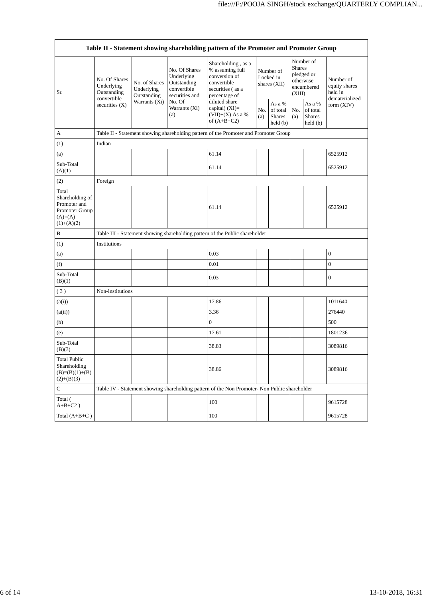| Table II - Statement showing shareholding pattern of the Promoter and Promoter Group     |                                                                               |                                                             |                                                                                                               |                                                                                                                                                                                        |                                        |                                                |                                                                               |                                                                |                                                         |
|------------------------------------------------------------------------------------------|-------------------------------------------------------------------------------|-------------------------------------------------------------|---------------------------------------------------------------------------------------------------------------|----------------------------------------------------------------------------------------------------------------------------------------------------------------------------------------|----------------------------------------|------------------------------------------------|-------------------------------------------------------------------------------|----------------------------------------------------------------|---------------------------------------------------------|
| Sr.                                                                                      | No. Of Shares<br>Underlying<br>Outstanding<br>convertible<br>securities $(X)$ | No. of Shares<br>Underlying<br>Outstanding<br>Warrants (Xi) | No. Of Shares<br>Underlying<br>Outstanding<br>convertible<br>securities and<br>No. Of<br>Warrants (Xi)<br>(a) | Shareholding, as a<br>% assuming full<br>conversion of<br>convertible<br>securities (as a<br>percentage of<br>diluted share<br>capital) $(XI)=$<br>$(VII)+(X)$ As a %<br>of $(A+B+C2)$ | Number of<br>Locked in<br>shares (XII) |                                                | Number of<br><b>Shares</b><br>pledged or<br>otherwise<br>encumbered<br>(XIII) |                                                                | Number of<br>equity shares<br>held in<br>dematerialized |
|                                                                                          |                                                                               |                                                             |                                                                                                               |                                                                                                                                                                                        | No.<br>(a)                             | As a %<br>of total<br><b>Shares</b><br>held(b) | No.<br>(a)                                                                    | As a %<br>of total<br><b>Shares</b><br>$\text{held}(\text{b})$ | form $(XIV)$                                            |
| A                                                                                        |                                                                               |                                                             |                                                                                                               | Table II - Statement showing shareholding pattern of the Promoter and Promoter Group                                                                                                   |                                        |                                                |                                                                               |                                                                |                                                         |
| (1)                                                                                      | Indian                                                                        |                                                             |                                                                                                               |                                                                                                                                                                                        |                                        |                                                |                                                                               |                                                                |                                                         |
| (a)                                                                                      |                                                                               |                                                             |                                                                                                               | 61.14                                                                                                                                                                                  |                                        |                                                |                                                                               |                                                                | 6525912                                                 |
| Sub-Total<br>(A)(1)                                                                      |                                                                               |                                                             |                                                                                                               | 61.14                                                                                                                                                                                  |                                        |                                                |                                                                               |                                                                | 6525912                                                 |
| (2)                                                                                      | Foreign                                                                       |                                                             |                                                                                                               |                                                                                                                                                                                        |                                        |                                                |                                                                               |                                                                |                                                         |
| Total<br>Shareholding of<br>Promoter and<br>Promoter Group<br>$(A)= (A)$<br>$(1)+(A)(2)$ |                                                                               |                                                             |                                                                                                               | 61.14                                                                                                                                                                                  |                                        |                                                |                                                                               |                                                                | 6525912                                                 |
| B                                                                                        |                                                                               |                                                             |                                                                                                               | Table III - Statement showing shareholding pattern of the Public shareholder                                                                                                           |                                        |                                                |                                                                               |                                                                |                                                         |
| (1)                                                                                      | Institutions                                                                  |                                                             |                                                                                                               |                                                                                                                                                                                        |                                        |                                                |                                                                               |                                                                |                                                         |
| (a)                                                                                      |                                                                               |                                                             |                                                                                                               | 0.03                                                                                                                                                                                   |                                        |                                                |                                                                               |                                                                | $\boldsymbol{0}$                                        |
| (f)                                                                                      |                                                                               |                                                             |                                                                                                               | 0.01                                                                                                                                                                                   |                                        |                                                |                                                                               |                                                                | $\boldsymbol{0}$                                        |
| Sub-Total<br>(B)(1)                                                                      |                                                                               |                                                             |                                                                                                               | 0.03                                                                                                                                                                                   |                                        |                                                |                                                                               |                                                                | $\boldsymbol{0}$                                        |
| (3)                                                                                      | Non-institutions                                                              |                                                             |                                                                                                               |                                                                                                                                                                                        |                                        |                                                |                                                                               |                                                                |                                                         |
| (a(i))                                                                                   |                                                                               |                                                             |                                                                                                               | 17.86                                                                                                                                                                                  |                                        |                                                |                                                                               |                                                                | 1011640                                                 |
| (a(ii))                                                                                  |                                                                               |                                                             |                                                                                                               | 3.36                                                                                                                                                                                   |                                        |                                                |                                                                               |                                                                | 276440                                                  |
| (b)                                                                                      |                                                                               |                                                             |                                                                                                               | $\boldsymbol{0}$                                                                                                                                                                       |                                        |                                                |                                                                               |                                                                | 500                                                     |
| (e)                                                                                      |                                                                               |                                                             |                                                                                                               | 17.61                                                                                                                                                                                  |                                        |                                                |                                                                               |                                                                | 1801236                                                 |
| Sub-Total<br>(B)(3)                                                                      |                                                                               |                                                             |                                                                                                               | 38.83                                                                                                                                                                                  |                                        |                                                |                                                                               |                                                                | 3089816                                                 |
| <b>Total Public</b><br>Shareholding<br>$(B)=(B)(1)+(B)$<br>$(2)+(B)(3)$                  |                                                                               |                                                             |                                                                                                               | 38.86                                                                                                                                                                                  |                                        |                                                |                                                                               |                                                                | 3089816                                                 |
| С                                                                                        |                                                                               |                                                             |                                                                                                               | Table IV - Statement showing shareholding pattern of the Non Promoter- Non Public shareholder                                                                                          |                                        |                                                |                                                                               |                                                                |                                                         |
| Total (<br>$A+B+C2$ )                                                                    |                                                                               |                                                             |                                                                                                               | 100                                                                                                                                                                                    |                                        |                                                |                                                                               |                                                                | 9615728                                                 |
| Total $(A+B+C)$                                                                          |                                                                               |                                                             |                                                                                                               | 100                                                                                                                                                                                    |                                        |                                                |                                                                               |                                                                | 9615728                                                 |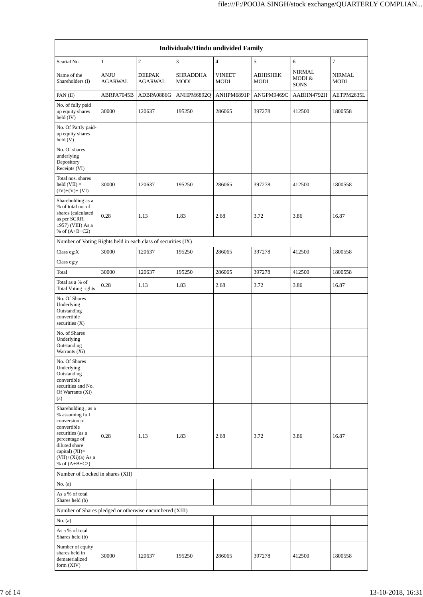| Individuals/Hindu undivided Family                                                                                                                                                         |                               |                          |                         |                              |                         |                                        |                       |  |
|--------------------------------------------------------------------------------------------------------------------------------------------------------------------------------------------|-------------------------------|--------------------------|-------------------------|------------------------------|-------------------------|----------------------------------------|-----------------------|--|
| Searial No.                                                                                                                                                                                | $\mathbf{1}$                  | $\overline{c}$           | 3                       | $\overline{4}$               | 5                       | 6                                      | 7                     |  |
| Name of the<br>Shareholders (I)                                                                                                                                                            | <b>ANJU</b><br><b>AGARWAL</b> | <b>DEEPAK</b><br>AGARWAL | SHRADDHA<br><b>MODI</b> | <b>VINEET</b><br><b>MODI</b> | <b>ABHISHEK</b><br>MODI | <b>NIRMAL</b><br>MODI &<br><b>SONS</b> | <b>NIRMAL</b><br>MODI |  |
| PAN $(II)$                                                                                                                                                                                 | ABRPA7045B                    | ADBPA0886G               | ANHPM6892Q              | ANHPM6891P                   | ANGPM9469C              | AABHN4792H                             | AETPM2635L            |  |
| No. of fully paid<br>up equity shares<br>held (IV)                                                                                                                                         | 30000                         | 120637                   | 195250                  | 286065                       | 397278                  | 412500                                 | 1800558               |  |
| No. Of Partly paid-<br>up equity shares<br>held (V)                                                                                                                                        |                               |                          |                         |                              |                         |                                        |                       |  |
| No. Of shares<br>underlying<br>Depository<br>Receipts (VI)                                                                                                                                 |                               |                          |                         |                              |                         |                                        |                       |  |
| Total nos. shares<br>held $(VII) =$<br>$(IV)+(V)+(VI)$                                                                                                                                     | 30000                         | 120637                   | 195250                  | 286065                       | 397278                  | 412500                                 | 1800558               |  |
| Shareholding as a<br>% of total no. of<br>shares (calculated<br>as per SCRR,<br>1957) (VIII) As a<br>% of $(A+B+C2)$                                                                       | 0.28                          | 1.13                     | 1.83                    | 2.68                         | 3.72                    | 3.86                                   | 16.87                 |  |
| Number of Voting Rights held in each class of securities (IX)                                                                                                                              |                               |                          |                         |                              |                         |                                        |                       |  |
| Class eg:X<br>Class eg:y                                                                                                                                                                   | 30000                         | 120637                   | 195250                  | 286065                       | 397278                  | 412500                                 | 1800558               |  |
| Total                                                                                                                                                                                      | 30000                         | 120637                   | 195250                  | 286065                       | 397278                  | 412500                                 | 1800558               |  |
| Total as a % of<br>Total Voting rights                                                                                                                                                     | 0.28                          | 1.13                     | 1.83                    | 2.68                         | 3.72                    | 3.86                                   | 16.87                 |  |
| No. Of Shares<br>Underlying<br>Outstanding<br>convertible<br>securities $(X)$<br>No. of Shares<br>Underlying<br>Outstanding<br>Warrants (Xi)                                               |                               |                          |                         |                              |                         |                                        |                       |  |
| No. Of Shares<br>Underlying<br>Outstanding<br>convertible<br>securities and No.<br>Of Warrants (Xi)<br>(a)                                                                                 |                               |                          |                         |                              |                         |                                        |                       |  |
| Shareholding, as a<br>% assuming full<br>conversion of<br>convertible<br>securities (as a<br>percentage of<br>diluted share<br>capital) $(XI)=$<br>$(VII)+(Xi)(a)$ As a<br>% of $(A+B+C2)$ | 0.28                          | 1.13                     | 1.83                    | 2.68                         | 3.72                    | 3.86                                   | 16.87                 |  |
| Number of Locked in shares (XII)                                                                                                                                                           |                               |                          |                         |                              |                         |                                        |                       |  |
| No. $(a)$                                                                                                                                                                                  |                               |                          |                         |                              |                         |                                        |                       |  |
| As a % of total<br>Shares held (b)                                                                                                                                                         |                               |                          |                         |                              |                         |                                        |                       |  |
| Number of Shares pledged or otherwise encumbered (XIII)                                                                                                                                    |                               |                          |                         |                              |                         |                                        |                       |  |
| No. $(a)$                                                                                                                                                                                  |                               |                          |                         |                              |                         |                                        |                       |  |
| As a % of total<br>Shares held (b)                                                                                                                                                         |                               |                          |                         |                              |                         |                                        |                       |  |
| Number of equity<br>shares held in<br>dematerialized<br>form $(XIV)$                                                                                                                       | 30000                         | 120637                   | 195250                  | 286065                       | 397278                  | 412500                                 | 1800558               |  |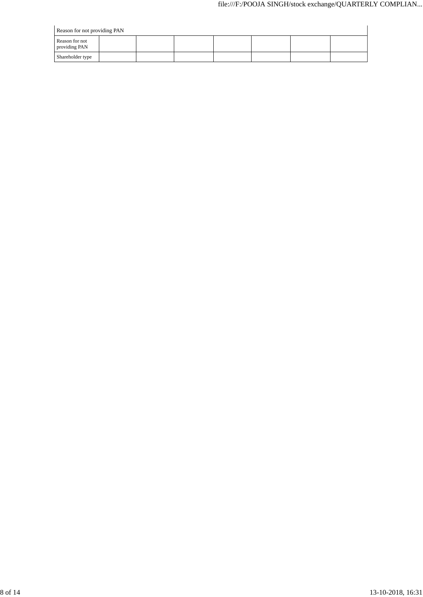| Reason for not providing PAN    |  |  |  |  |  |  |  |
|---------------------------------|--|--|--|--|--|--|--|
| Reason for not<br>providing PAN |  |  |  |  |  |  |  |
| Shareholder type                |  |  |  |  |  |  |  |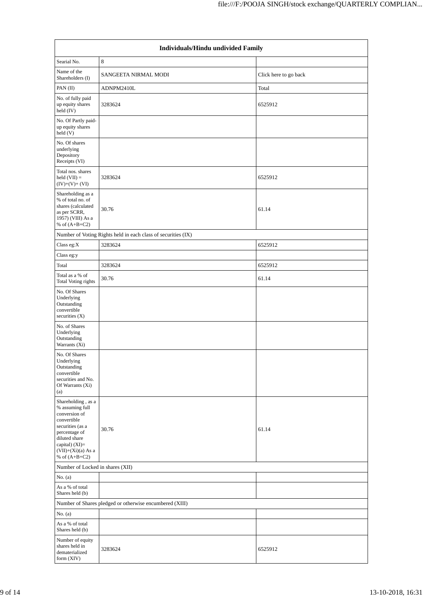| Individuals/Hindu undivided Family                                                                                                                                                       |                                                               |                       |  |  |  |  |  |  |
|------------------------------------------------------------------------------------------------------------------------------------------------------------------------------------------|---------------------------------------------------------------|-----------------------|--|--|--|--|--|--|
| Searial No.                                                                                                                                                                              | 8                                                             |                       |  |  |  |  |  |  |
| Name of the<br>Shareholders (I)                                                                                                                                                          | SANGEETA NIRMAL MODI                                          | Click here to go back |  |  |  |  |  |  |
| PAN (II)                                                                                                                                                                                 | ADNPM2410L                                                    | Total                 |  |  |  |  |  |  |
| No. of fully paid<br>up equity shares<br>held (IV)                                                                                                                                       | 3283624                                                       | 6525912               |  |  |  |  |  |  |
| No. Of Partly paid-<br>up equity shares<br>held(V)                                                                                                                                       |                                                               |                       |  |  |  |  |  |  |
| No. Of shares<br>underlying<br>Depository<br>Receipts (VI)                                                                                                                               |                                                               |                       |  |  |  |  |  |  |
| Total nos. shares<br>held $(VII) =$<br>$(IV)+(V)+(VI)$                                                                                                                                   | 3283624                                                       | 6525912               |  |  |  |  |  |  |
| Shareholding as a<br>% of total no. of<br>shares (calculated<br>as per SCRR,<br>1957) (VIII) As a<br>% of $(A+B+C2)$                                                                     | 30.76                                                         | 61.14                 |  |  |  |  |  |  |
|                                                                                                                                                                                          | Number of Voting Rights held in each class of securities (IX) |                       |  |  |  |  |  |  |
| Class eg:X                                                                                                                                                                               | 3283624                                                       | 6525912               |  |  |  |  |  |  |
| Class eg:y                                                                                                                                                                               |                                                               |                       |  |  |  |  |  |  |
| Total                                                                                                                                                                                    | 3283624                                                       | 6525912               |  |  |  |  |  |  |
| Total as a % of<br>Total Voting rights                                                                                                                                                   | 30.76                                                         | 61.14                 |  |  |  |  |  |  |
| No. Of Shares<br>Underlying<br>Outstanding<br>convertible<br>securities (X)                                                                                                              |                                                               |                       |  |  |  |  |  |  |
| No. of Shares<br>Underlying<br>Outstanding<br>Warrants (Xi)                                                                                                                              |                                                               |                       |  |  |  |  |  |  |
| No. Of Shares<br>Underlying<br>Outstanding<br>convertible<br>securities and No.<br>Of Warrants (Xi)<br>(a)                                                                               |                                                               |                       |  |  |  |  |  |  |
| Shareholding, as a<br>% assuming full<br>conversion of<br>convertible<br>securities (as a<br>percentage of<br>diluted share<br>capital) (XI)=<br>$(VII)+(Xi)(a)$ As a<br>% of $(A+B+C2)$ | 30.76                                                         | 61.14                 |  |  |  |  |  |  |
| Number of Locked in shares (XII)                                                                                                                                                         |                                                               |                       |  |  |  |  |  |  |
| No. $(a)$                                                                                                                                                                                |                                                               |                       |  |  |  |  |  |  |
| As a % of total<br>Shares held (b)                                                                                                                                                       |                                                               |                       |  |  |  |  |  |  |
|                                                                                                                                                                                          | Number of Shares pledged or otherwise encumbered (XIII)       |                       |  |  |  |  |  |  |
| No. $(a)$                                                                                                                                                                                |                                                               |                       |  |  |  |  |  |  |
| As a % of total<br>Shares held (b)                                                                                                                                                       |                                                               |                       |  |  |  |  |  |  |
| Number of equity<br>shares held in<br>dematerialized<br>form $(XIV)$                                                                                                                     | 3283624                                                       | 6525912               |  |  |  |  |  |  |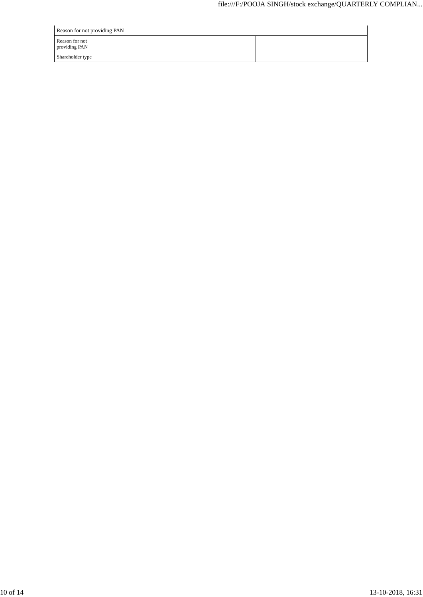| Reason for not providing PAN    |  |  |  |  |  |  |
|---------------------------------|--|--|--|--|--|--|
| Reason for not<br>providing PAN |  |  |  |  |  |  |
| Shareholder type                |  |  |  |  |  |  |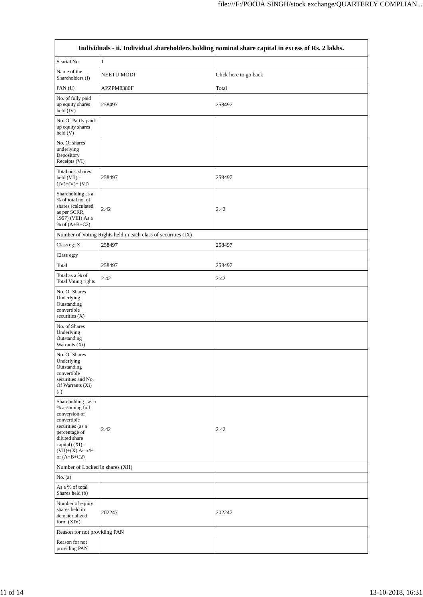|                                                                                                                                                                                        | Individuals - ii. Individual shareholders holding nominal share capital in excess of Rs. 2 lakhs. |                       |  |  |  |  |  |  |  |
|----------------------------------------------------------------------------------------------------------------------------------------------------------------------------------------|---------------------------------------------------------------------------------------------------|-----------------------|--|--|--|--|--|--|--|
| Searial No.                                                                                                                                                                            | $\mathbf{1}$                                                                                      |                       |  |  |  |  |  |  |  |
| Name of the<br>Shareholders (I)                                                                                                                                                        | NEETU MODI                                                                                        | Click here to go back |  |  |  |  |  |  |  |
| PAN (II)                                                                                                                                                                               | APZPM8380F                                                                                        | Total                 |  |  |  |  |  |  |  |
| No. of fully paid<br>up equity shares<br>held (IV)                                                                                                                                     | 258497                                                                                            | 258497                |  |  |  |  |  |  |  |
| No. Of Partly paid-<br>up equity shares<br>held(V)                                                                                                                                     |                                                                                                   |                       |  |  |  |  |  |  |  |
| No. Of shares<br>underlying<br>Depository<br>Receipts (VI)                                                                                                                             |                                                                                                   |                       |  |  |  |  |  |  |  |
| Total nos. shares<br>held $(VII) =$<br>$(IV)+(V)+(VI)$                                                                                                                                 | 258497                                                                                            | 258497                |  |  |  |  |  |  |  |
| Shareholding as a<br>% of total no. of<br>shares (calculated<br>as per SCRR,<br>1957) (VIII) As a<br>% of $(A+B+C2)$                                                                   | 2.42                                                                                              | 2.42                  |  |  |  |  |  |  |  |
|                                                                                                                                                                                        | Number of Voting Rights held in each class of securities (IX)                                     |                       |  |  |  |  |  |  |  |
| Class eg: $\mathbf X$                                                                                                                                                                  | 258497                                                                                            | 258497                |  |  |  |  |  |  |  |
| Class eg:y                                                                                                                                                                             |                                                                                                   |                       |  |  |  |  |  |  |  |
| Total                                                                                                                                                                                  | 258497                                                                                            | 258497                |  |  |  |  |  |  |  |
| Total as a % of<br>Total Voting rights                                                                                                                                                 | 2.42                                                                                              | 2.42                  |  |  |  |  |  |  |  |
| No. Of Shares<br>Underlying<br>Outstanding<br>convertible<br>securities (X)                                                                                                            |                                                                                                   |                       |  |  |  |  |  |  |  |
| No. of Shares<br>Underlying<br>Outstanding<br>Warrants (Xi)                                                                                                                            |                                                                                                   |                       |  |  |  |  |  |  |  |
| No. Of Shares<br>Underlying<br>Outstanding<br>convertible<br>securities and No.<br>Of Warrants (Xi)<br>(a)                                                                             |                                                                                                   |                       |  |  |  |  |  |  |  |
| Shareholding, as a<br>% assuming full<br>conversion of<br>convertible<br>securities (as a<br>percentage of<br>diluted share<br>capital) $(XI)=$<br>$(VII)+(X)$ As a %<br>of $(A+B+C2)$ | 2.42                                                                                              | 2.42                  |  |  |  |  |  |  |  |
| Number of Locked in shares (XII)                                                                                                                                                       |                                                                                                   |                       |  |  |  |  |  |  |  |
| No. (a)                                                                                                                                                                                |                                                                                                   |                       |  |  |  |  |  |  |  |
| As a % of total<br>Shares held (b)                                                                                                                                                     |                                                                                                   |                       |  |  |  |  |  |  |  |
| Number of equity<br>shares held in<br>dematerialized<br>form $(XIV)$                                                                                                                   | 202247                                                                                            | 202247                |  |  |  |  |  |  |  |
| Reason for not providing PAN                                                                                                                                                           |                                                                                                   |                       |  |  |  |  |  |  |  |
| Reason for not<br>providing PAN                                                                                                                                                        |                                                                                                   |                       |  |  |  |  |  |  |  |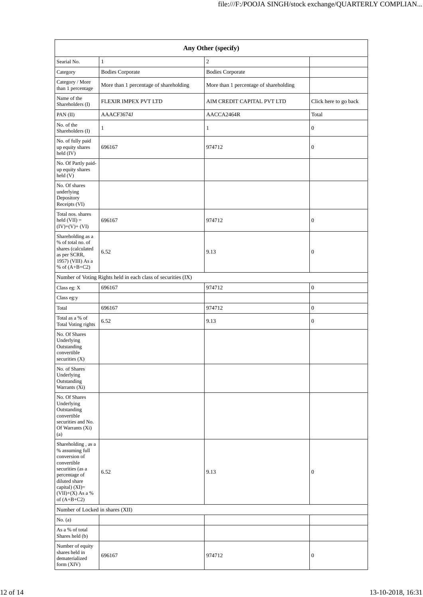| Any Other (specify)                                                                                                                                                                    |                                                               |                                        |                       |  |  |  |  |  |
|----------------------------------------------------------------------------------------------------------------------------------------------------------------------------------------|---------------------------------------------------------------|----------------------------------------|-----------------------|--|--|--|--|--|
| Searial No.                                                                                                                                                                            | $\mathbf{1}$                                                  | $\overline{c}$                         |                       |  |  |  |  |  |
| Category                                                                                                                                                                               | <b>Bodies Corporate</b>                                       | <b>Bodies Corporate</b>                |                       |  |  |  |  |  |
| Category / More<br>than 1 percentage                                                                                                                                                   | More than 1 percentage of shareholding                        | More than 1 percentage of shareholding |                       |  |  |  |  |  |
| Name of the<br>Shareholders (I)                                                                                                                                                        | FLEXIR IMPEX PVT LTD                                          | AIM CREDIT CAPITAL PVT LTD             | Click here to go back |  |  |  |  |  |
| PAN (II)                                                                                                                                                                               | AAACF3674J                                                    | AACCA2464R                             | Total                 |  |  |  |  |  |
| No. of the<br>Shareholders (I)                                                                                                                                                         | $\mathbf{1}$                                                  | $\mathbf{1}$                           | $\boldsymbol{0}$      |  |  |  |  |  |
| No. of fully paid<br>up equity shares<br>held $(IV)$                                                                                                                                   | 696167                                                        | 974712                                 | $\boldsymbol{0}$      |  |  |  |  |  |
| No. Of Partly paid-<br>up equity shares<br>held(V)                                                                                                                                     |                                                               |                                        |                       |  |  |  |  |  |
| No. Of shares<br>underlying<br>Depository<br>Receipts (VI)                                                                                                                             |                                                               |                                        |                       |  |  |  |  |  |
| Total nos. shares<br>held $(VII) =$<br>$(IV)+(V)+(VI)$                                                                                                                                 | 696167                                                        | 974712                                 | $\boldsymbol{0}$      |  |  |  |  |  |
| Shareholding as a<br>% of total no. of<br>shares (calculated<br>as per SCRR,<br>1957) (VIII) As a<br>% of $(A+B+C2)$                                                                   | 6.52                                                          | 9.13                                   | $\boldsymbol{0}$      |  |  |  |  |  |
|                                                                                                                                                                                        | Number of Voting Rights held in each class of securities (IX) |                                        |                       |  |  |  |  |  |
| Class eg: X                                                                                                                                                                            | 696167                                                        | 974712                                 | $\boldsymbol{0}$      |  |  |  |  |  |
| Class eg:y                                                                                                                                                                             |                                                               |                                        |                       |  |  |  |  |  |
| Total                                                                                                                                                                                  | 696167                                                        | 974712                                 | $\boldsymbol{0}$      |  |  |  |  |  |
| Total as a % of<br>Total Voting rights                                                                                                                                                 | 6.52                                                          | 9.13                                   | $\boldsymbol{0}$      |  |  |  |  |  |
| No. Of Shares<br>Underlying<br>Outstanding<br>convertible<br>securities $(X)$                                                                                                          |                                                               |                                        |                       |  |  |  |  |  |
| No. of Shares<br>Underlying<br>Outstanding<br>Warrants (Xi)                                                                                                                            |                                                               |                                        |                       |  |  |  |  |  |
| No. Of Shares<br>Underlying<br>Outstanding<br>convertible<br>securities and No.<br>Of Warrants (Xi)<br>(a)                                                                             |                                                               |                                        |                       |  |  |  |  |  |
| Shareholding, as a<br>% assuming full<br>conversion of<br>convertible<br>securities (as a<br>percentage of<br>diluted share<br>capital) $(XI)=$<br>$(VII)+(X)$ As a %<br>of $(A+B+C2)$ | 6.52                                                          | 9.13                                   | $\boldsymbol{0}$      |  |  |  |  |  |
| Number of Locked in shares (XII)                                                                                                                                                       |                                                               |                                        |                       |  |  |  |  |  |
| No. $(a)$                                                                                                                                                                              |                                                               |                                        |                       |  |  |  |  |  |
| As a % of total<br>Shares held (b)                                                                                                                                                     |                                                               |                                        |                       |  |  |  |  |  |
| Number of equity<br>shares held in<br>dematerialized<br>form $(XIV)$                                                                                                                   | 696167                                                        | 974712                                 | $\boldsymbol{0}$      |  |  |  |  |  |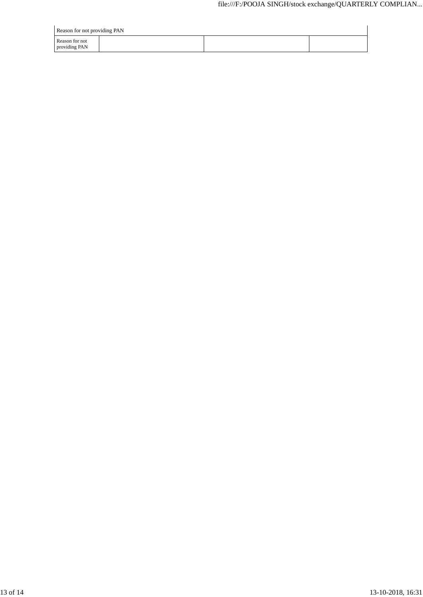| Reason for not providing PAN    |  |  |  |
|---------------------------------|--|--|--|
| Reason for not<br>providing PAN |  |  |  |